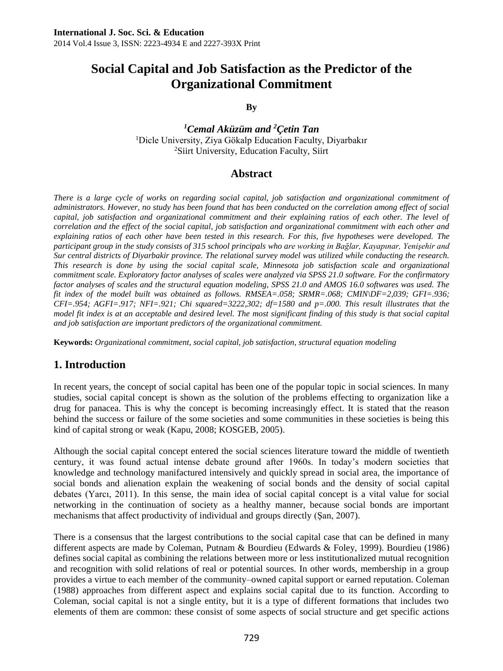**By**

*<sup>1</sup>Cemal Aküzüm and <sup>2</sup>Çetin Tan* <sup>1</sup>Dicle University, Ziya Gökalp Education Faculty, Diyarbakır <sup>2</sup>Siirt University, Education Faculty, Siirt

## **Abstract**

*There is a large cycle of works on regarding social capital, job satisfaction and organizational commitment of administrators. However, no study has been found that has been conducted on the correlation among effect of social*  capital, job satisfaction and organizational commitment and their explaining ratios of each other. The level of *correlation and the effect of the social capital, job satisfaction and organizational commitment with each other and explaining ratios of each other have been tested in this research. For this, five hypotheses were developed. The participant group in the study consists of 315 school principals who are working in Bağlar, Kayapınar, Yenişehir and Sur central districts of Diyarbakir province. The relational survey model was utilized while conducting the research. This research is done by using the social capital scale, Minnesota job satisfaction scale and organizational commitment scale. Exploratory factor analyses of scales were analyzed via SPSS 21.0 software. For the confirmatory factor analyses of scales and the structural equation modeling, SPSS 21.0 and AMOS 16.0 softwares was used. The fit index of the model built was obtained as follows. RMSEA=.058; SRMR=.068; CMIN\DF=2,039; GFI=.936; CFI=.954; AGFI=.917; NFI=.921; Chi squared=3222,302; df=1580 and p=.000. This result illustrates that the model fit index is at an acceptable and desired level. The most significant finding of this study is that social capital and job satisfaction are important predictors of the organizational commitment.*

**Keywords:** *Organizational commitment, social capital, job satisfaction, structural equation modeling*

## **1. Introduction**

In recent years, the concept of social capital has been one of the popular topic in social sciences. In many studies, social capital concept is shown as the solution of the problems effecting to organization like a drug for panacea. This is why the concept is becoming increasingly effect. It is stated that the reason behind the success or failure of the some societies and some communities in these societies is being this kind of capital strong or weak (Kapu, 2008; KOSGEB, 2005).

Although the social capital concept entered the social sciences literature toward the middle of twentieth century, it was found actual intense debate ground after 1960s. In today's modern societies that knowledge and technology manifactured intensively and quickly spread in social area, the importance of social bonds and alienation explain the weakening of social bonds and the density of social capital debates (Yarcı, 2011). In this sense, the main idea of social capital concept is a vital value for social networking in the continuation of society as a healthy manner, because social bonds are important mechanisms that affect productivity of individual and groups directly (Şan, 2007).

There is a consensus that the largest contributions to the social capital case that can be defined in many different aspects are made by Coleman, Putnam & Bourdieu (Edwards & Foley, 1999). Bourdieu (1986) defines social capital as combining the relations between more or less institutionalized mutual recognition and recognition with solid relations of real or potential sources. In other words, membership in a group provides a virtue to each member of the community–owned capital support or earned reputation. Coleman (1988) approaches from different aspect and explains social capital due to its function. According to Coleman, social capital is not a single entity, but it is a type of different formations that includes two elements of them are common: these consist of some aspects of social structure and get specific actions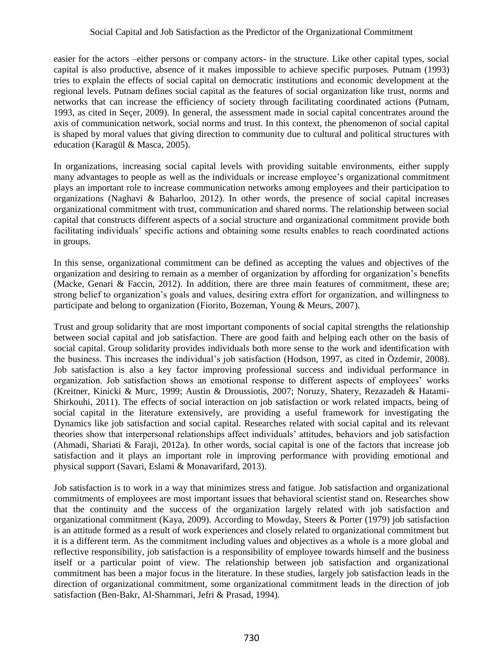easier for the actors –either persons or company actors- in the structure. Like other capital types, social capital is also productive, absence of it makes impossible to achieve specific purposes. Putnam (1993) tries to explain the effects of social capital on democratic institutions and economic development at the regional levels. Putnam defines social capital as the features of social organization like trust, norms and networks that can increase the efficiency of society through facilitating coordinated actions (Putnam, 1993, as cited in Seçer, 2009). In general, the assessment made in social capital concentrates around the axis of communication network, social norms and trust. In this context, the phenomenon of social capital is shaped by moral values that giving direction to community due to cultural and political structures with education (Karagül & Masca, 2005).

In organizations, increasing social capital levels with providing suitable environments, either supply many advantages to people as well as the individuals or increase employee's organizational commitment plays an important role to increase communication networks among employees and their participation to organizations (Naghavi & Baharloo, 2012). In other words, the presence of social capital increases organizational commitment with trust, communication and shared norms. The relationship between social capital that constructs different aspects of a social structure and organizational commitment provide both facilitating individuals' specific actions and obtaining some results enables to reach coordinated actions in groups.

In this sense, organizational commitment can be defined as accepting the values and objectives of the organization and desiring to remain as a member of organization by affording for organization's benefits (Macke, Genari & Faccin, 2012). In addition, there are three main features of commitment, these are; strong belief to organization's goals and values, desiring extra effort for organization, and willingness to participate and belong to organization (Fiorito, Bozeman, Young & Meurs, 2007).

Trust and group solidarity that are most important components of social capital strengths the relationship between social capital and job satisfaction. There are good faith and helping each other on the basis of social capital. Group solidarity provides individuals both more sense to the work and identification with the business. This increases the individual's job satisfaction (Hodson, 1997, as cited in Özdemir, 2008). Job satisfaction is also a key factor improving professional success and individual performance in organization. Job satisfaction shows an emotional response to different aspects of employees' works (Kreitner, Kinicki & Murc, 1999; Austin & Droussiotis, 2007; Noruzy, Shatery, Rezazadeh & Hatami-Shirkouhi, 2011). The effects of social interaction on job satisfaction or work related impacts, being of social capital in the literature extensively, are providing a useful framework for investigating the Dynamics like job satisfaction and social capital. Researches related with social capital and its relevant theories show that interpersonal relationships affect individuals' attitudes, behaviors and job satisfaction (Ahmadi, Shariati & Faraji, 2012a). In other words, social capital is one of the factors that increase job satisfaction and it plays an important role in improving performance with providing emotional and physical support (Savari, Eslami & Monavarifard, 2013).

Job satisfaction is to work in a way that minimizes stress and fatigue. Job satisfaction and organizational commitments of employees are most important issues that behavioral scientist stand on. Researches show that the continuity and the success of the organization largely related with job satisfaction and organizational commitment (Kaya, 2009). According to Mowday, Steers & Porter (1979) job satisfaction is an attitude formed as a result of work experiences and closely related to organizational commitment but it is a different term. As the commitment including values and objectives as a whole is a more global and reflective responsibility, job satisfaction is a responsibility of employee towards himself and the business itself or a particular point of view. The relationship between job satisfaction and organizational commitment has been a major focus in the literature. In these studies, largely job satisfaction leads in the direction of organizational commitment, some organizational commitment leads in the direction of job satisfaction (Ben-Bakr, Al-Shammari, Jefri & Prasad, 1994).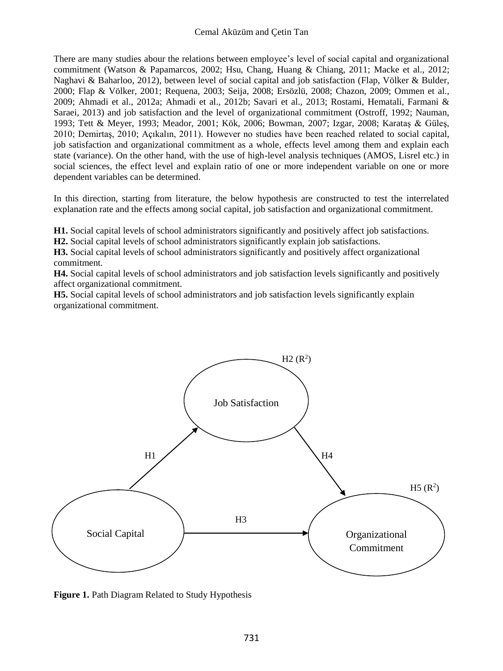There are many studies abour the relations between employee's level of social capital and organizational commitment (Watson & Papamarcos, 2002; Hsu, Chang, Huang & Chiang, 2011; Macke et al., 2012; Naghavi & Baharloo, 2012), between level of social capital and job satisfaction (Flap, Völker & Bulder, 2000; Flap & Völker, 2001; Requena, 2003; Seija, 2008; Ersözlü, 2008; Chazon, 2009; Ommen et al., 2009; Ahmadi et al., 2012a; Ahmadi et al., 2012b; Savari et al., 2013; Rostami, Hematali, Farmani & Saraei, 2013) and job satisfaction and the level of organizational commitment (Ostroff, 1992; Nauman, 1993; Tett & Meyer, 1993; Meador, 2001; Kök, 2006; Bowman, 2007; Izgar, 2008; Karataş & Güleş, 2010; Demirtaş, 2010; Açıkalın, 2011). However no studies have been reached related to social capital, job satisfaction and organizational commitment as a whole, effects level among them and explain each state (variance). On the other hand, with the use of high-level analysis techniques (AMOS, Lisrel etc.) in social sciences, the effect level and explain ratio of one or more independent variable on one or more dependent variables can be determined.

In this direction, starting from literature, the below hypothesis are constructed to test the interrelated explanation rate and the effects among social capital, job satisfaction and organizational commitment.

**H1.** Social capital levels of school administrators significantly and positively affect job satisfactions.

**H2.** Social capital levels of school administrators significantly explain job satisfactions.

**H3.** Social capital levels of school administrators significantly and positively affect organizational commitment.

**H4.** Social capital levels of school administrators and job satisfaction levels significantly and positively affect organizational commitment.

**H5.** Social capital levels of school administrators and job satisfaction levels significantly explain organizational commitment.



**Figure 1.** Path Diagram Related to Study Hypothesis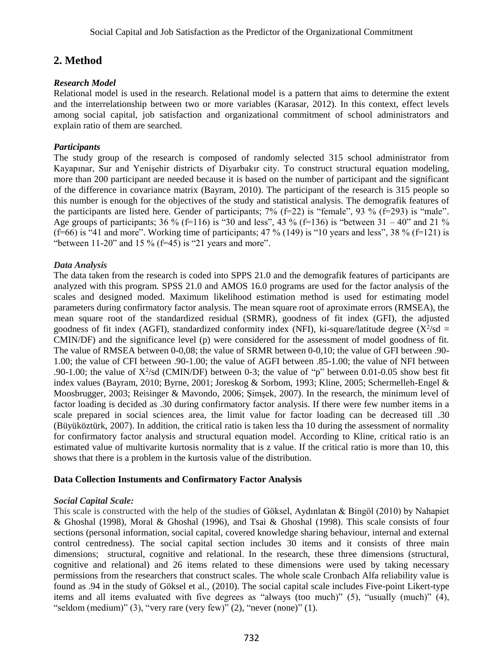## **2. Method**

### *Research Model*

Relational model is used in the research. Relational model is a pattern that aims to determine the extent and the interrelationship between two or more variables (Karasar, 2012). In this context, effect levels among social capital, job satisfaction and organizational commitment of school administrators and explain ratio of them are searched.

### *[Participants](http://tureng.com/search/population%20and%20sample)*

The study group of the research is composed of randomly selected 315 school administrator from Kayapınar, Sur and Yenişehir districts of Diyarbakır city. To construct structural equation modeling, more than 200 participant are needed because it is based on the number of participant and the significant of the difference in covariance matrix (Bayram, 2010). The participant of the research is 315 people so this number is enough for the objectives of the study and statistical analysis. The demografik features of the participants are listed here. Gender of participants;  $7\%$  (f=22) is "female",  $93\%$  (f=293) is "male". Age groups of participants;  $36\%$  (f=116) is "30 and less",  $43\%$  (f=136) is "between  $31 - 40$ " and  $21\%$  $(f=66)$  is "41 and more". Working time of participants; 47 % (149) is "10 years and less", 38 % ( $f=121$ ) is "between  $11-20$ " and  $15\%$  ( $f=45$ ) is "21 years and more".

### *Data Analysis*

The data taken from the research is coded into SPPS 21.0 and the demografik features of participants are analyzed with this program. SPSS 21.0 and AMOS 16.0 programs are used for the factor analysis of the scales and designed moded. Maximum likelihood estimation method is used for estimating model parameters during confirmatory factor analysis. The mean square root of aproximate errors (RMSEA), the mean square root of the standardized residual (SRMR), goodness of fit index (GFI), the adjusted goodness of fit index (AGFI), standardized conformity index (NFI), ki-square/latitude degree ( $X^2$ /sd = CMIN/DF) and the significance level (p) were considered for the assessment of model goodness of fit. The value of RMSEA between 0-0,08; the value of SRMR between 0-0,10; the value of GFI between .90- 1.00; the value of CFI between .90-1.00; the value of AGFI between .85-1.00; the value of NFI between .90-1.00; the value of  $X^2$ /sd (CMIN/DF) between 0-3; the value of "p" between 0.01-0.05 show best fit index values (Bayram, 2010; Byrne, 2001; Joreskog & Sorbom, 1993; Kline, 2005; Schermelleh-Engel & Moosbrugger, 2003; Reisinger & Mavondo, 2006; Şimşek, 2007). In the research, the minimum level of factor loading is decided as .30 during confirmatory factor analysis. If there were few number items in a scale prepared in social sciences area, the limit value for factor loading can be decreased till .30 (Büyüköztürk, 2007). In addition, the critical ratio is taken less tha 10 during the assessment of normality for confirmatory factor analysis and structural equation model. According to Kline, critical ratio is an estimated value of multivarite kurtosis normality that is z value. If the critical ratio is more than 10, this shows that there is a problem in the kurtosis value of the distribution.

#### **Data Collection Instuments and [Confirmatory Factor Analysis](http://tureng.com/search/confirmatory%20factor%20analysis)**

#### *Social Capital Scale:*

This scale is constructed with the help of the studies of Göksel, Aydınlatan & Bingöl (2010) by Nahapiet & Ghoshal (1998), Moral & Ghoshal (1996), and Tsai & Ghoshal (1998). This scale consists of four sections (personal information, social capital, covered knowledge sharing behaviour, internal and external control centredness). The social capital section includes 30 items and it consists of three main dimensions; structural, cognitive and relational. In the research, these three dimensions (structural, cognitive and relational) and 26 items related to these dimensions were used by taking necessary permissions from the researchers that construct scales. The whole scale Cronbach Alfa reliability value is found as .94 in the study of Göksel et al., (2010). The social capital scale includes Five-point Likert-type items and all items evaluated with five degrees as "always (too much)" (5), "usually (much)" (4), "seldom (medium)"  $(3)$ , "very rare (very few)"  $(2)$ , "never (none)"  $(1)$ .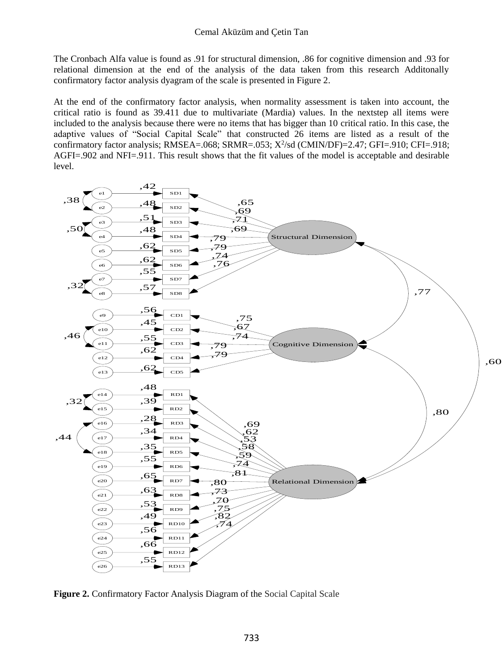#### Cemal Aküzüm and Çetin Tan

The Cronbach Alfa value is found as .91 for structural dimension, .86 for cognitive dimension and .93 for relational dimension at the end of the analysis of the data taken from this research Additonally confirmatory factor analysis dyagram of the scale is presented in Figure 2.

At the end of the confirmatory factor analysis, when normality assessment is taken into account, the critical ratio is found as 39.411 due to multivariate (Mardia) values. In the nextstep all items were included to the analysis because there were no items that has bigger than 10 critical ratio. In this case, the adaptive values of "Social Capital Scale" that constructed 26 items are listed as a result of the confirmatory factor analysis; RMSEA=.068; SRMR=.053; X<sup>2</sup>/sd (CMIN/DF)=2.47; GFI=.910; CFI=.918; AGFI=.902 and NFI=.911. This result shows that the fit values of the model is acceptable and desirable level.



**Figure 2.** Confirmatory Factor Analysis Diagram of the Social Capital Scale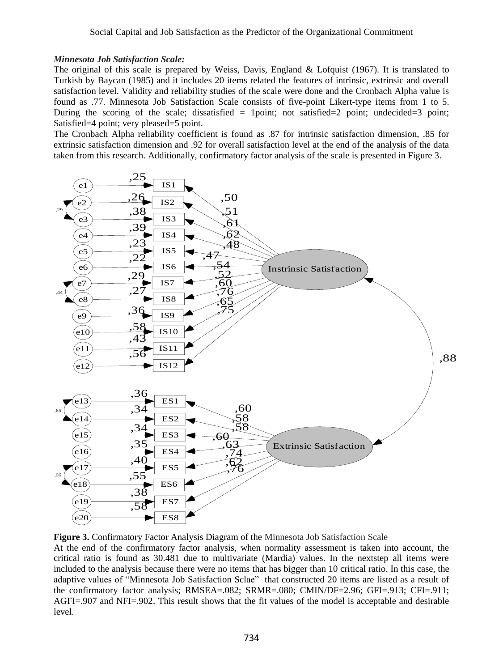#### *Minnesota Job Satisfaction Scale:*

The original of this scale is prepared by Weiss, Davis, England & Lofquist (1967). It is translated to Turkish by Baycan (1985) and it includes 20 items related the features of intrinsic, extrinsic and overall satisfaction level. Validity and reliability studies of the scale were done and the Cronbach Alpha value is found as .77. Minnesota Job Satisfaction Scale consists of five-point Likert-type items from 1 to 5. During the scoring of the scale; dissatisfied  $= 1$  point; not satisfied  $= 2$  point; undecided  $= 3$  point; Satisfied=4 point; very pleased=5 point.

The Cronbach Alpha reliability coefficient is found as .87 for intrinsic satisfaction dimension, .85 for extrinsic satisfaction dimension and .92 for overall satisfaction level at the end of the analysis of the data taken from this research. Additionally, confirmatory factor analysis of the scale is presented in Figure 3.



**Figure 3.** Confirmatory Factor Analysis Diagram of the Minnesota Job Satisfaction Scale

At the end of the confirmatory factor analysis, when normality assessment is taken into account, the critical ratio is found as 30.481 due to multivariate (Mardia) values. In the nextstep all items were included to the analysis because there were no items that has bigger than 10 critical ratio. In this case, the adaptive values of "Minnesota Job Satisfaction Sclae" that constructed 20 items are listed as a result of the confirmatory factor analysis; RMSEA=.082; SRMR=.080; CMIN/DF=2.96; GFI=.913; CFI=.911; AGFI=.907 and NFI=.902. This result shows that the fit values of the model is acceptable and desirable level.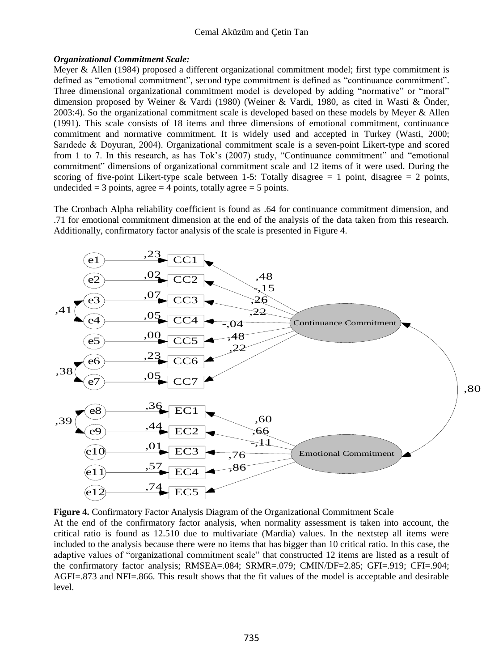#### Cemal Aküzüm and Çetin Tan

#### *Organizational Commitment Scale:*

Meyer & Allen (1984) proposed a different organizational commitment model; first type commitment is defined as "emotional commitment", second type commitment is defined as "continuance commitment". Three dimensional organizational commitment model is developed by adding "normative" or "moral" dimension proposed by Weiner & Vardi (1980) (Weiner & Vardi, 1980, as cited in Wasti & Önder, 2003:4). So the organizational commitment scale is developed based on these models by Meyer & Allen (1991). This scale consists of 18 items and three dimensions of emotional commitment, continuance commitment and normative commitment. It is widely used and accepted in Turkey (Wasti, 2000; Sarıdede & Doyuran, 2004). Organizational commitment scale is a seven-point Likert-type and scored from 1 to 7. In this research, as has Tok's (2007) study, "Continuance commitment" and "emotional commitment" dimensions of organizational commitment scale and 12 items of it were used. During the scoring of five-point Likert-type scale between 1-5: Totally disagree  $= 1$  point, disagree  $= 2$  points, undecided  $=$  3 points, agree  $=$  4 points, totally agree  $=$  5 points.

The Cronbach Alpha reliability coefficient is found as .64 for continuance commitment dimension, and .71 for emotional commitment dimension at the end of the analysis of the data taken from this research. Additionally, confirmatory factor analysis of the scale is presented in Figure 4.



**Figure 4.** Confirmatory Factor Analysis Diagram of the Organizational Commitment Scale At the end of the confirmatory factor analysis, when normality assessment is taken into account, the critical ratio is found as 12.510 due to multivariate (Mardia) values. In the nextstep all items were included to the analysis because there were no items that has bigger than 10 critical ratio. In this case, the adaptive values of "organizational commitment scale" that constructed 12 items are listed as a result of the confirmatory factor analysis; RMSEA=.084; SRMR=.079; CMIN/DF=2.85; GFI=.919; CFI=.904; AGFI=.873 and NFI=.866. This result shows that the fit values of the model is acceptable and desirable level.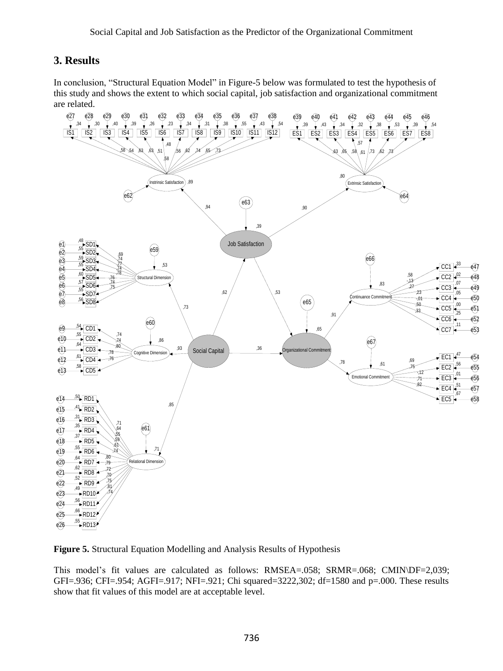## **3. Results**

In conclusion, "Structural Equation Model" in Figure-5 below was formulated to test the hypothesis of this study and shows the extent to which social capital, job satisfaction and organizational commitment are related.



**Figure 5.** Structural Equation Modelling and Analysis Results of Hypothesis

This model's fit values are calculated as follows: RMSEA=.058; SRMR=.068; CMIN\DF=2,039; GFI=.936; CFI=.954; AGFI=.917; NFI=.921; Chi squared=3222,302; df=1580 and p=.000. These results show that fit values of this model are at acceptable level.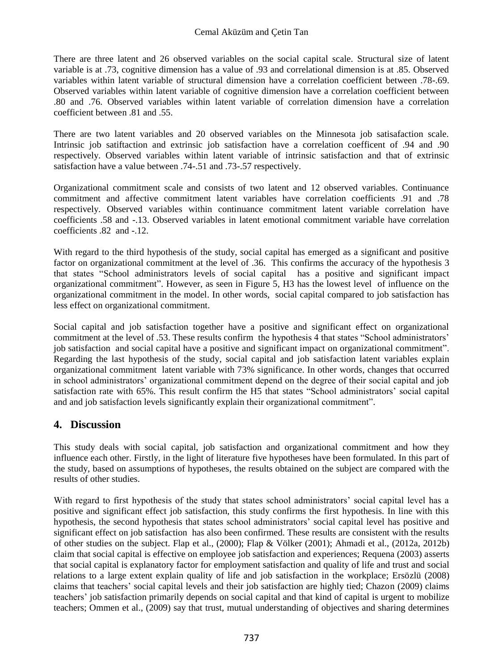There are three latent and 26 observed variables on the social capital scale. Structural size of latent variable is at .73, cognitive dimension has a value of .93 and correlational dimension is at .85. Observed variables within latent variable of structural dimension have a correlation coefficient between .78-.69. Observed variables within latent variable of cognitive dimension have a correlation coefficient between .80 and .76. Observed variables within latent variable of correlation dimension have a correlation coefficient between 81 and 55

There are two latent variables and 20 observed variables on the Minnesota job satisafaction scale. Intrinsic job satiftaction and extrinsic job satisfaction have a correlation coefficent of .94 and .90 respectively. Observed variables within latent variable of intrinsic satisfaction and that of extrinsic satisfaction have a value between .74-.51 and .73-.57 respectively.

Organizational commitment scale and consists of two latent and 12 observed variables. Continuance commitment and affective commitment latent variables have correlation coefficients .91 and .78 respectively. Observed variables within continuance commitment latent variable correlation have coefficients .58 and -.13. Observed variables in latent emotional commitment variable have correlation coefficients .82 and -.12.

With regard to the third hypothesis of the study, social capital has emerged as a significant and positive factor on organizational commitment at the level of .36. This confirms the accuracy of the hypothesis 3 that states "School administrators levels of social capital has a positive and significant impact organizational commitment". However, as seen in Figure 5, H3 has the lowest level of influence on the organizational commitment in the model. In other words, social capital compared to job satisfaction has less effect on organizational commitment.

Social capital and job satisfaction together have a positive and significant effect on organizational commitment at the level of .53. These results confirm the hypothesis 4 that states "School administrators' job satisfaction and social capital have a positive and significant impact on organizational commitment". Regarding the last hypothesis of the study, social capital and job satisfaction latent variables explain organizational commitment latent variable with 73% significance. In other words, changes that occurred in school administrators' organizational commitment depend on the degree of their social capital and job satisfaction rate with 65%. This result confirm the H5 that states "School administrators' social capital and and job satisfaction levels significantly explain their organizational commitment".

## **4. Discussion**

This study deals with social capital, job satisfaction and organizational commitment and how they influence each other. Firstly, in the light of literature five hypotheses have been formulated. In this part of the study, based on assumptions of hypotheses, the results obtained on the subject are compared with the results of other studies.

With regard to first hypothesis of the study that states school administrators' social capital level has a positive and significant effect job satisfaction, this study confirms the first hypothesis. In line with this hypothesis, the second hypothesis that states school administrators' social capital level has positive and significant effect on job satisfaction has also been confirmed. These results are consistent with the results of other studies on the subject. Flap et al., (2000); Flap & Völker (2001); Ahmadi et al., (2012a, 2012b) claim that social capital is effective on employee job satisfaction and experiences; Requena (2003) asserts that social capital is explanatory factor for employment satisfaction and quality of life and trust and social relations to a large extent explain quality of life and job satisfaction in the workplace; Ersözlü (2008) claims that teachers' social capital levels and their job satisfaction are highly tied; Chazon (2009) claims teachers' job satisfaction primarily depends on social capital and that kind of capital is urgent to mobilize teachers; Ommen et al., (2009) say that trust, mutual understanding of objectives and sharing determines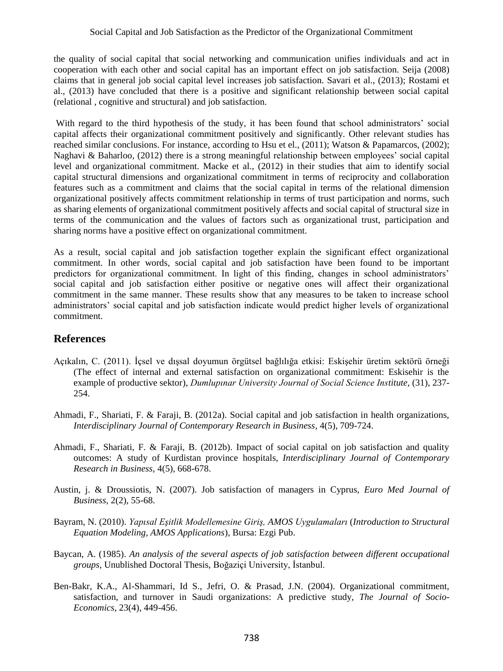the quality of social capital that social networking and communication unifies individuals and act in cooperation with each other and social capital has an important effect on job satisfaction. Seija (2008) claims that in general job social capital level increases job satisfaction. Savari et al., (2013); Rostami et al., (2013) have concluded that there is a positive and significant relationship between social capital (relational , cognitive and structural) and job satisfaction.

With regard to the third hypothesis of the study, it has been found that school administrators' social capital affects their organizational commitment positively and significantly. Other relevant studies has reached similar conclusions. For instance, according to Hsu et el., (2011); Watson & Papamarcos, (2002); Naghavi & Baharloo, (2012) there is a strong meaningful relationship between employees' social capital level and organizational commitment. Macke et al., (2012) in their studies that aim to identify social capital structural dimensions and organizational commitment in terms of reciprocity and collaboration features such as a commitment and claims that the social capital in terms of the relational dimension organizational positively affects commitment relationship in terms of trust participation and norms, such as sharing elements of organizational commitment positively affects and social capital of structural size in terms of the communication and the values of factors such as organizational trust, participation and sharing norms have a positive effect on organizational commitment.

As a result, social capital and job satisfaction together explain the significant effect organizational commitment. In other words, social capital and job satisfaction have been found to be important predictors for organizational commitment. In light of this finding, changes in school administrators' social capital and job satisfaction either positive or negative ones will affect their organizational commitment in the same manner. These results show that any measures to be taken to increase school administrators' social capital and job satisfaction indicate would predict higher levels of organizational commitment.

## **References**

- Açıkalın, C. (2011). İçsel ve dışsal doyumun örgütsel bağlılığa etkisi: Eskişehir üretim sektörü örneği (The effect of internal and external satisfaction on organizational commitment: Eskisehir is the example of productive sektor), *Dumlupınar University Journal of Social Science Institute,* (31), 237- 254.
- Ahmadi, F., Shariati, F. & Faraji, B. (2012a). Social capital and job satisfaction in health organizations, *Interdisciplinary Journal of Contemporary Research in Business*, 4(5), 709-724.
- Ahmadi, F., Shariati, F. & Faraji, B. (2012b). Impact of social capital on job satisfaction and quality outcomes: A study of Kurdistan province hospitals, *Interdisciplinary Journal of Contemporary Research in Business*, 4(5), 668-678.
- Austin, j. & Droussiotis, N. (2007). Job satisfaction of managers in Cyprus, *Euro Med Journal of Business*, 2(2), 55-68.
- Bayram, N. (2010). *Yapısal Eşitlik Modellemesine Giriş, AMOS Uygulamaları* (*Introduction to Structural Equation Modeling, AMOS Applications*), Bursa: Ezgi Pub.
- Baycan, A. (1985). *An analysis of the several aspects of job satisfaction between different occupational groups*, Unublished Doctoral Thesis, Boğaziçi University, İstanbul.
- Ben-Bakr, K.A., Al-Shammari, Id S., Jefri, O. & Prasad, J.N. (2004). Organizational commitment, satisfaction, and turnover in Saudi organizations: A predictive study, *The Journal of Socio-Economics*, 23(4), 449-456.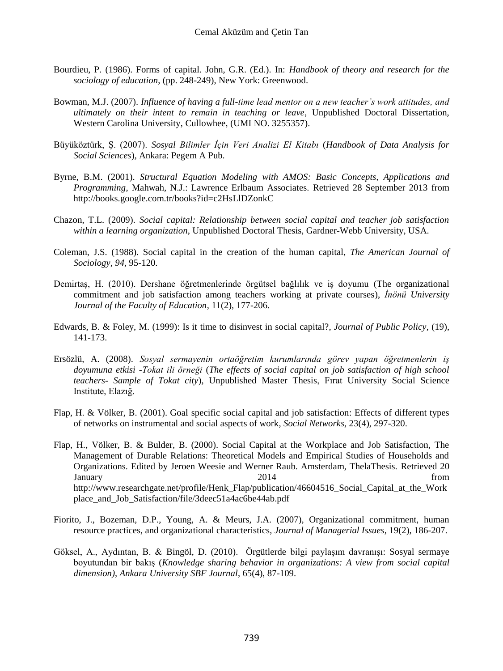- Bourdieu, P. (1986). Forms of capital. John, G.R. (Ed.). In: *Handbook of theory and research for the sociology of education*, (pp. 248-249), New York: Greenwood.
- Bowman, M.J. (2007). *Influence of having a full-time lead mentor on a new teacher's work attitudes, and ultimately on their intent to remain in teaching or leave*, Unpublished Doctoral Dissertation, Western Carolina University, Cullowhee, (UMI NO. 3255357).
- Büyüköztürk, Ş. (2007). *Sosyal Bilimler İçin Veri Analizi El Kitabı* (*Handbook of Data Analysis for Social Sciences*)*,* Ankara: Pegem A Pub.
- Byrne, B.M. (2001). *Structural Equation Modeling with AMOS: Basic Concepts, Applications and Programming*, Mahwah, N.J.: Lawrence Erlbaum Associates. Retrieved 28 September 2013 from <http://books.google.com.tr/books?id=c2HsLlDZonkC>
- Chazon, T.L. (2009). *Social capital: Relationship between social capital and teacher job satisfaction within a learning organization*, Unpublished Doctoral Thesis, Gardner-Webb University, USA.
- Coleman, J.S. (1988). Social capital in the creation of the human capital, *The American Journal of Sociology*, *94*, 95-120.
- Demirtaş, H. (2010). Dershane öğretmenlerinde örgütsel bağlılık ve iş doyumu (The organizational commitment and job satisfaction among teachers working at private courses), *İnönü University Journal of the Faculty of Education*, 11(2), 177-206.
- Edwards, B. & Foley, M. (1999): Is it time to disinvest in social capital?, *Journal of Public Policy*, (19), 141-173.
- Ersözlü, A. (2008). *Sosyal sermayenin ortaöğretim kurumlarında görev yapan öğretmenlerin iş doyumuna etkisi -Tokat ili örneği* (*The effects of social capital on job satisfaction of high school teachers- Sample of Tokat city*), Unpublished Master Thesis, Fırat University Social Science Institute, Elazığ.
- Flap, H. & Völker, B. (2001). Goal specific social capital and job satisfaction: Effects of different types of networks on instrumental and social aspects of work, *Social Networks*, 23(4), 297-320.
- Flap, H., Völker, B. & Bulder, B. (2000). Social Capital at the Workplace and Job Satisfaction, The Management of Durable Relations: Theoretical Models and Empirical Studies of Households and Organizations. Edited by Jeroen Weesie and Werner Raub. Amsterdam, ThelaThesis. Retrieved 20 January 2014 **from** the set of the set of the set of the set of the set of the set of the set of the set of the set of the set of the set of the set of the set of the set of the set of the set of the set of the set of the [http://www.researchgate.net/profile/Henk\\_Flap/publication/46604516\\_Social\\_Capital\\_at\\_the\\_Work](http://www.researchgate.net/profile/Henk_Flap/publication/46604516_Social_Capital_at_the_Workplace_and_Job_Satisfaction/file/3deec51a4ac6be44ab.pdf) [place\\_and\\_Job\\_Satisfaction/file/3deec51a4ac6be44ab.pdf](http://www.researchgate.net/profile/Henk_Flap/publication/46604516_Social_Capital_at_the_Workplace_and_Job_Satisfaction/file/3deec51a4ac6be44ab.pdf)
- Fiorito, J., Bozeman, D.P., Young, A. & Meurs, J.A. (2007), Organizational commitment, human resource practices, and organizational characteristics, *Journal of Managerial Issues*, 19(2), 186-207.
- Göksel, A., Aydıntan, B. & Bingöl, D. (2010). Örgütlerde bilgi paylaşım davranışı: Sosyal sermaye boyutundan bir bakış (*Knowledge sharing behavior in organizations: A view from social capital dimension)*, *Ankara University SBF Journal*, 65(4), 87-109.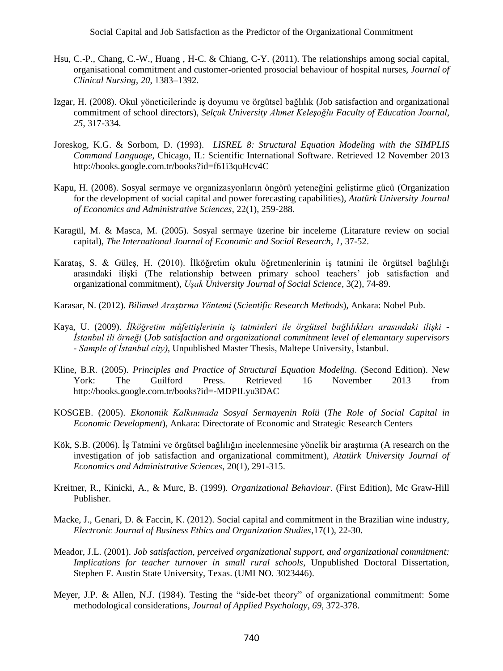- Hsu, C.-P., Chang, C.-W., Huang , H-C. & Chiang, C-Y. (2011). The relationships among social capital, organisational commitment and customer-oriented prosocial behaviour of hospital nurses, *Journal of Clinical Nursing*, *20*, 1383–1392.
- Izgar, H. (2008). Okul yöneticilerinde iş doyumu ve örgütsel bağlılık (Job satisfaction and organizational commitment of school directors), *Selçuk University Ahmet Keleşoğlu Faculty of Education Journal*, *25*, 317-334.
- Joreskog, K.G. & Sorbom, D. (1993). *LISREL 8: Structural Equation Modeling with the SIMPLIS Command Language*, Chicago, IL: Scientific International Software. Retrieved 12 November 2013 <http://books.google.com.tr/books?id=f61i3quHcv4C>
- Kapu, H. (2008). Sosyal sermaye ve organizasyonların öngörü yeteneğini geliştirme gücü (Organization for the development of social capital and power forecasting capabilities), *Atatürk University Journal of Economics and Administrative Sciences*, 22(1), 259-288.
- Karagül, M. & Masca, M. (2005). Sosyal sermaye üzerine bir inceleme (Litarature review on social capital), *The International Journal of Economic and Social Research*, *1*, 37-52.
- Karataş, S. & Güleş, H. (2010). İlköğretim okulu öğretmenlerinin iş tatmini ile örgütsel bağlılığı arasındaki ilişki (The relationship between primary school teachers' job satisfaction and organizational commitment), *Uşak University Journal of Social Science*, 3(2), 74-89.
- Karasar, N. (2012). *Bilimsel Araştırma Yöntemi* (*Scientific Research Methods*), Ankara: Nobel Pub.
- Kaya, U. (2009). *İlköğretim müfettişlerinin iş tatminleri ile örgütsel bağlılıkları arasındaki ilişki - İstanbul ili örneği* (*Job satisfaction and organizational commitment level of elemantary supervisors - Sample of İstanbul city)*, Unpublished Master Thesis, Maltepe University, İstanbul.
- Kline, B.R. (2005). *Principles and Practice of Structural Equation Modeling*. (Second Edition). New York: The Guilford Press. Retrieved 16 November 2013 from <http://books.google.com.tr/books?id=-MDPILyu3DAC>
- KOSGEB. (2005). *Ekonomik Kalkınmada Sosyal Sermayenin Rolü* (*The Role of Social Capital in Economic Development*), Ankara: Directorate of Economic and Strategic Research Centers
- Kök, S.B. (2006). İş Tatmini ve örgütsel bağlılığın incelenmesine yönelik bir araştırma (A research on the investigation of job satisfaction and organizational commitment), *Atatürk University Journal of Economics and Administrative Sciences*, 20(1), 291-315.
- Kreitner, R., Kinicki, A., & Murc, B. (1999). *Organizational Behaviour*. (First Edition), Mc Graw-Hill Publisher.
- Macke, J., Genari, D. & Faccin, K. (2012). Social capital and commitment in the Brazilian wine industry, *Electronic Journal of Business Ethics and Organization Studies*,17(1), 22-30.
- Meador, J.L. (2001). *Job satisfaction, perceived organizational support, and organizational commitment: Implications for teacher turnover in small rural schools*, Unpublished Doctoral Dissertation, Stephen F. Austin State University, Texas. (UMI NO. 3023446).
- Meyer, J.P. & Allen, N.J. (1984). Testing the "side-bet theory" of organizational commitment: Some methodological considerations, *Journal of Applied Psychology*, *69*, 372-378.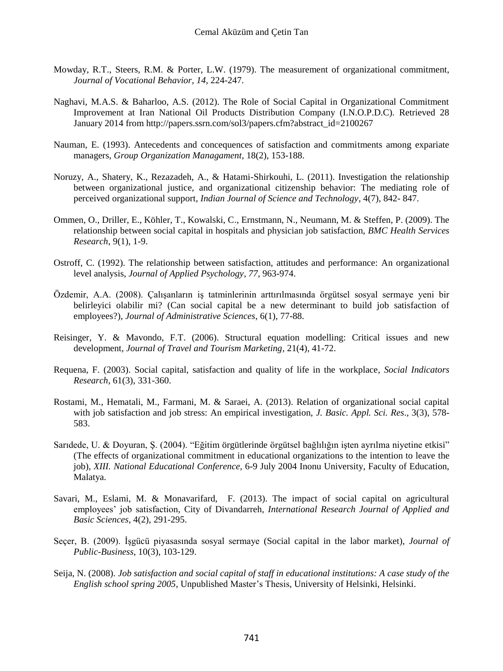- Mowday, R.T., Steers, R.M. & Porter, L.W. (1979). The measurement of organizational commitment, *Journal of Vocational Behavior*, *14*, 224-247.
- Naghavi, M.A.S. & Baharloo, A.S. (2012). The Role of Social Capital in Organizational Commitment Improvement at Iran National Oil Products Distribution Company (I.N.O.P.D.C). Retrieved 28 January 2014 from [http://papers.ssrn.com/sol3/papers.cfm?abstract\\_id=2100267](http://papers.ssrn.com/sol3/papers.cfm?abstract_id=2100267)
- Nauman, E. (1993). Antecedents and concequences of satisfaction and commitments among expariate managers, *Group Organization Managament*, 18(2), 153-188.
- Noruzy, A., Shatery, K., Rezazadeh, A., & Hatami-Shirkouhi, L. (2011). Investigation the relationship between organizational justice, and organizational citizenship behavior: The mediating role of perceived organizational support, *Indian Journal of Science and Technology*, 4(7), 842- 847.
- Ommen, O., Driller, E., Köhler, T., Kowalski, C., Ernstmann, N., Neumann, M. & Steffen, P. (2009). The relationship between social capital in hospitals and physician job satisfaction, *BMC Health Services Research*, 9(1), 1-9.
- Ostroff, C. (1992). The relationship between satisfaction, attitudes and performance: An organizational level analysis, *Journal of Applied Psychology*, *77*, 963-974.
- Özdemir, A.A. (2008). Çalışanların iş tatminlerinin arttırılmasında örgütsel sosyal sermaye yeni bir belirleyici olabilir mi? (Can social capital be a new determinant to build job satisfaction of employees?), *Journal of Administrative Sciences*, 6(1), 77-88.
- Reisinger, Y. & Mavondo, F.T. (2006). Structural equation modelling: Critical issues and new development, *Journal of Travel and Tourism Marketing*, 21(4), 41-72.
- Requena, F. (2003). Social capital, satisfaction and quality of life in the workplace, *Social Indicators Research*, 61(3), 331-360.
- Rostami, M., Hematali, M., Farmani, M. & Saraei, A. (2013). Relation of organizational social capital with job satisfaction and job stress: An empirical investigation, *J. Basic. Appl. Sci. Res*., 3(3), 578- 583.
- Sarıdede, U. & Doyuran, Ş. (2004). "Eğitim örgütlerinde örgütsel bağlılığın işten ayrılma niyetine etkisi" (The effects of organizational commitment in educational organizations to the intention to leave the job), *XIII. National Educational Conference*, 6-9 July 2004 Inonu University, Faculty of Education, Malatya.
- Savari, M., Eslami, M. & Monavarifard, F. (2013). The impact of social capital on agricultural employees' job satisfaction, City of Divandarreh*, International Research Journal of Applied and Basic Sciences*, 4(2), 291-295.
- Seçer, B. (2009). İşgücü piyasasında sosyal sermaye (Social capital in the labor market), *Journal of Public-Business*, 10(3), 103-129.
- Seija, N. (2008). *Job satisfaction and social capital of staff in educational institutions: A case study of the English school spring 2005*, Unpublished Master's Thesis, University of Helsinki, Helsinki.